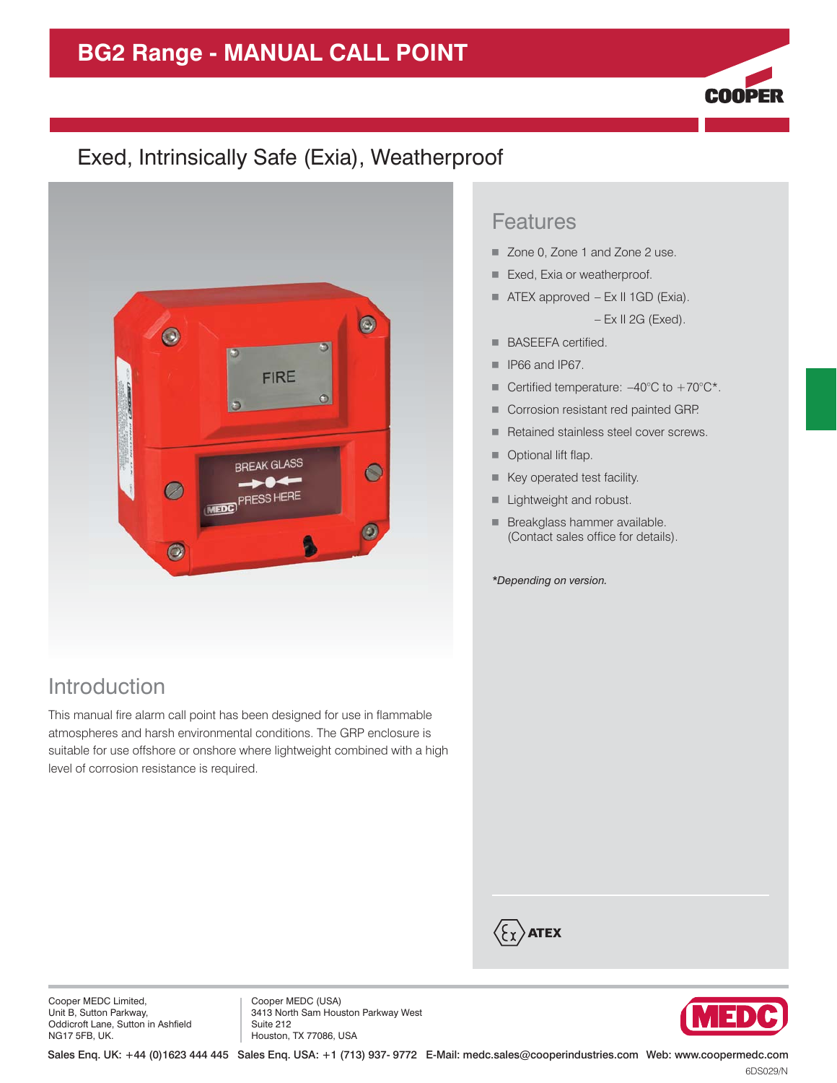# **BG2 Range - MANUAL CALL POINT**



## Exed, Intrinsically Safe (Exia), Weatherproof



### Introduction

This manual fire alarm call point has been designed for use in flammable atmospheres and harsh environmental conditions. The GRP enclosure is suitable for use offshore or onshore where lightweight combined with a high level of corrosion resistance is required.

#### Features

- Zone 0, Zone 1 and Zone 2 use.
- Exed, Exia or weatherproof.
- ATEX approved Ex II 1GD (Exia). – Ex II 2G (Exed).
- **BASEEFA certified.**
- $\blacksquare$  IP66 and IP67.
- Certified temperature:  $-40^{\circ}$ C to  $+70^{\circ}$ C\*.
- **Corrosion resistant red painted GRP.**
- **Retained stainless steel cover screws.**
- **Optional lift flap.**
- **Key operated test facility.**
- **Lightweight and robust.**
- **Breakglass hammer available.** (Contact sales office for details).

*\*Depending on version.*

 $\langle \xi_\Upsilon \rangle$ atex

Cooper MEDC Limited, Unit B, Sutton Parkway, Oddicroft Lane, Sutton in Ashfield NG17 5FB, UK.

Cooper MEDC (USA) 3413 North Sam Houston Parkway West Suite 212 Houston, TX 77086, USA



Sales Enq. UK: +44 (0)1623 444 445 Sales Enq. USA: +1 (713) 937- 9772 E-Mail: medc.sales@cooperindustries.com Web: www.coopermedc.com

6DS029/N